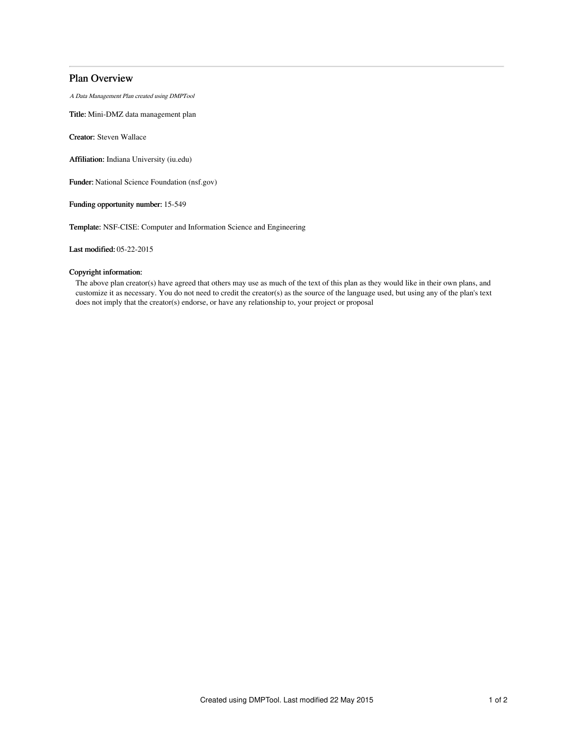# Plan Overview

A Data Management Plan created using DMPTool

Title: Mini-DMZ data management plan

Creator: Steven Wallace

Affiliation: Indiana University (iu.edu)

Funder: National Science Foundation (nsf.gov)

Funding opportunity number: 15-549

Template: NSF-CISE: Computer and Information Science and Engineering

Last modified: 05-22-2015

## Copyright information:

The above plan creator(s) have agreed that others may use as much of the text of this plan as they would like in their own plans, and customize it as necessary. You do not need to credit the creator(s) as the source of the language used, but using any of the plan's text does not imply that the creator(s) endorse, or have any relationship to, your project or proposal